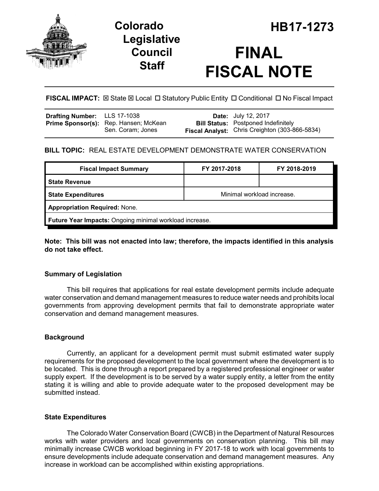

## **Legislative Council Staff**

# **FINAL FISCAL NOTE**

**FISCAL IMPACT:**  $\boxtimes$  State  $\boxtimes$  Local  $\Box$  Statutory Public Entity  $\Box$  Conditional  $\Box$  No Fiscal Impact

| <b>Drafting Number:</b> LLS 17-1038 |                                                            | <b>Date:</b> July 12, 2017                                                                   |
|-------------------------------------|------------------------------------------------------------|----------------------------------------------------------------------------------------------|
|                                     | Prime Sponsor(s): Rep. Hansen; McKean<br>Sen. Coram; Jones | <b>Bill Status:</b> Postponed Indefinitely<br>Fiscal Analyst: Chris Creighton (303-866-5834) |
|                                     |                                                            |                                                                                              |

## **BILL TOPIC:** REAL ESTATE DEVELOPMENT DEMONSTRATE WATER CONSERVATION

| <b>Fiscal Impact Summary</b>                            | FY 2017-2018               | FY 2018-2019 |  |  |  |
|---------------------------------------------------------|----------------------------|--------------|--|--|--|
| <b>State Revenue</b>                                    |                            |              |  |  |  |
| <b>State Expenditures</b>                               | Minimal workload increase. |              |  |  |  |
| <b>Appropriation Required: None.</b>                    |                            |              |  |  |  |
| Future Year Impacts: Ongoing minimal workload increase. |                            |              |  |  |  |

#### **Note: This bill was not enacted into law; therefore, the impacts identified in this analysis do not take effect.**

## **Summary of Legislation**

This bill requires that applications for real estate development permits include adequate water conservation and demand management measures to reduce water needs and prohibits local governments from approving development permits that fail to demonstrate appropriate water conservation and demand management measures.

## **Background**

Currently, an applicant for a development permit must submit estimated water supply requirements for the proposed development to the local government where the development is to be located. This is done through a report prepared by a registered professional engineer or water supply expert. If the development is to be served by a water supply entity, a letter from the entity stating it is willing and able to provide adequate water to the proposed development may be submitted instead.

#### **State Expenditures**

The Colorado Water Conservation Board (CWCB) in the Department of Natural Resources works with water providers and local governments on conservation planning. This bill may minimally increase CWCB workload beginning in FY 2017-18 to work with local governments to ensure developments include adequate conservation and demand management measures. Any increase in workload can be accomplished within existing appropriations.